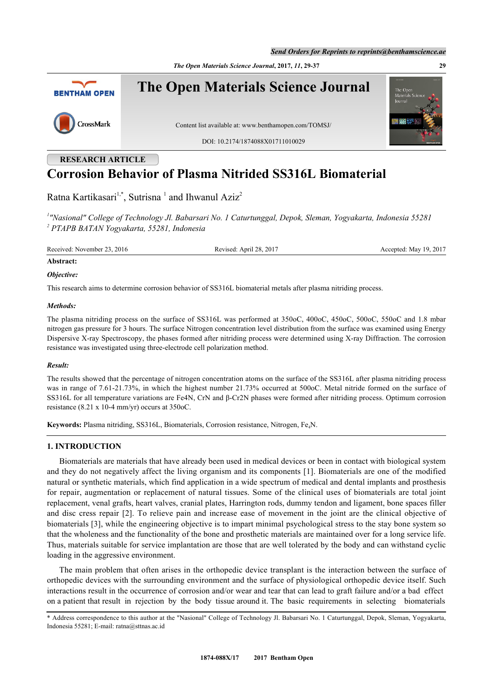*The Open Materials Science Journal***, 2017,** *11***, 29-37 29**



# **Corrosion Behavior of Plasma Nitrided SS316L Biomaterial**

Ratna Kartikasari<sup>[1](#page-0-0),[\\*](#page-0-1)</sup>, Sutrisna<sup>1</sup> and Ihwanul Aziz<sup>[2](#page-0-2)</sup>

<span id="page-0-2"></span><span id="page-0-0"></span>*1 "Nasional" College of Technology Jl. Babarsari No. 1 Caturtunggal, Depok, Sleman, Yogyakarta, Indonesia 55281 2 PTAPB BATAN Yogyakarta, 55281, Indonesia*

Received: November 23, 2016 Revised: April 28, 2017 Revised: April 28, 2017 Accepted: May 19, 2017

## **Abstract:** *Objective:*

This research aims to determine corrosion behavior of SS316L biomaterial metals after plasma nitriding process.

#### *Methods:*

The plasma nitriding process on the surface of SS316L was performed at 350oC, 400oC, 450oC, 500oC, 550oC and 1.8 mbar nitrogen gas pressure for 3 hours. The surface Nitrogen concentration level distribution from the surface was examined using Energy Dispersive X-ray Spectroscopy, the phases formed after nitriding process were determined using X-ray Diffraction. The corrosion resistance was investigated using three-electrode cell polarization method.

#### *Result:*

The results showed that the percentage of nitrogen concentration atoms on the surface of the SS316L after plasma nitriding process was in range of 7.61-21.73%, in which the highest number 21.73% occurred at 500oC. Metal nitride formed on the surface of SS316L for all temperature variations are Fe4N, CrN and β-Cr2N phases were formed after nitriding process. Optimum corrosion resistance (8.21 x 10-4 mm/yr) occurs at 350oC.

**Keywords:** Plasma nitriding, SS316L, Biomaterials, Corrosion resistance, Nitrogen, Fe4N.

#### **1. INTRODUCTION**

Biomaterials are materials that have already been used in medical devices or been in contact with biological system and they do not negatively affect the living organism and its components [[1](#page-8-0)]. Biomaterials are one of the modified natural or synthetic materials, which find application in a wide spectrum of medical and dental implants and prosthesis for repair, augmentation or replacement of natural tissues. Some of the clinical uses of biomaterials are total joint replacement, venal grafts, heart valves, cranial plates, Harrington rods, dummy tendon and ligament, bone spaces filler and disc cress repair [\[2](#page-8-1)]. To relieve pain and increase ease of movement in the joint are the clinical objective of biomaterials [\[3](#page-8-2)], while the engineering objective is to impart minimal psychological stress to the stay bone system so that the wholeness and the functionality of the bone and prosthetic materials are maintained over for a long service life. Thus, materials suitable for service implantation are those that are well tolerated by the body and can withstand cyclic loading in the aggressive environment.

The main problem that often arises in the orthopedic device transplant is the interaction between the surface of orthopedic devices with the surrounding environment and the surface of physiological orthopedic device itself. Such interactions result in the occurrence of corrosion and/or wear and tear that can lead to graft failure and/or a bad effect on a patient that result in rejection by the body tissue around it. The basic requirements in selecting biomaterials

<span id="page-0-1"></span><sup>\*</sup> Address correspondence to this author at the "Nasional" College of Technology Jl. Babarsari No. 1 Caturtunggal, Depok, Sleman, Yogyakarta, Indonesia 55281; E-mail: ratna@sttnas.ac.id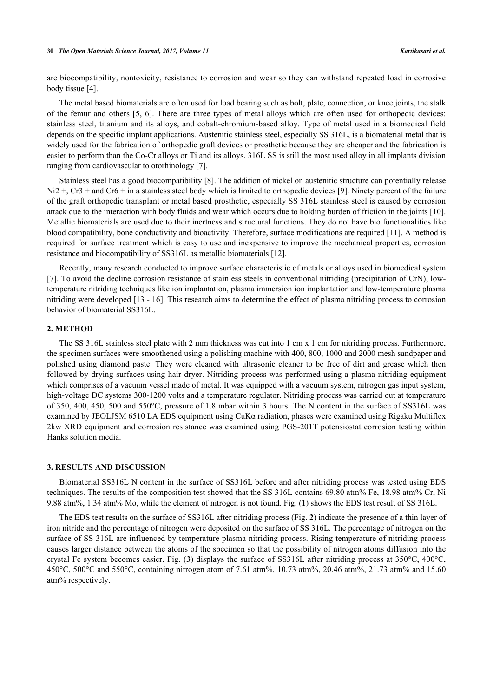are biocompatibility, nontoxicity, resistance to corrosion and wear so they can withstand repeated load in corrosive body tissue [[4\]](#page-8-3).

The metal based biomaterials are often used for load bearing such as bolt, plate, connection, or knee joints, the stalk of the femur and others [[5,](#page-8-4) [6](#page-8-5)]. There are three types of metal alloys which are often used for orthopedic devices: stainless steel, titanium and its alloys, and cobalt-chromium-based alloy. Type of metal used in a biomedical field depends on the specific implant applications. Austenitic stainless steel, especially SS 316L, is a biomaterial metal that is widely used for the fabrication of orthopedic graft devices or prosthetic because they are cheaper and the fabrication is easier to perform than the Co-Cr alloys or Ti and its alloys. 316L SS is still the most used alloy in all implants division ranging from cardiovascular to otorhinology [\[7](#page-8-6)].

Stainless steel has a good biocompatibility [\[8](#page-8-7)]. The addition of nickel on austenitic structure can potentially release Ni2 +, Cr3 + and Cr6 + in a stainless steel body which is limited to orthopedic devices [[9](#page-8-8)]. Ninety percent of the failure of the graft orthopedic transplant or metal based prosthetic, especially SS 316L stainless steel is caused by corrosion attack due to the interaction with body fluids and wear which occurs due to holding burden of friction in the joints [[10\]](#page-8-9). Metallic biomaterials are used due to their inertness and structural functions. They do not have bio functionalities like blood compatibility, bone conductivity and bioactivity. Therefore, surface modifications are required [[11\]](#page-8-10). A method is required for surface treatment which is easy to use and inexpensive to improve the mechanical properties, corrosion resistance and biocompatibility of SS316L as metallic biomaterials [[12\]](#page-8-11).

Recently, many research conducted to improve surface characteristic of metals or alloys used in biomedical system [\[7](#page-8-6)]. To avoid the decline corrosion resistance of stainless steels in conventional nitriding (precipitation of CrN), lowtemperature nitriding techniques like ion implantation, plasma immersion ion implantation and low-temperature plasma nitriding were developed [[13](#page-8-12) - [16\]](#page-8-13). This research aims to determine the effect of plasma nitriding process to corrosion behavior of biomaterial SS316L.

#### **2. METHOD**

The SS 316L stainless steel plate with 2 mm thickness was cut into 1 cm x 1 cm for nitriding process. Furthermore, the specimen surfaces were smoothened using a polishing machine with 400, 800, 1000 and 2000 mesh sandpaper and polished using diamond paste. They were cleaned with ultrasonic cleaner to be free of dirt and grease which then followed by drying surfaces using hair dryer. Nitriding process was performed using a plasma nitriding equipment which comprises of a vacuum vessel made of metal. It was equipped with a vacuum system, nitrogen gas input system, high-voltage DC systems 300-1200 volts and a temperature regulator. Nitriding process was carried out at temperature of 350, 400, 450, 500 and 550°C, pressure of 1.8 mbar within 3 hours. The N content in the surface of SS316L was examined by JEOLJSM 6510 LA EDS equipment using  $CuK\alpha$  radiation, phases were examined using Rigaku Multiflex 2kw XRD equipment and corrosion resistance was examined using PGS-201T potensiostat corrosion testing within Hanks solution media.

#### **3. RESULTS AND DISCUSSION**

Biomaterial SS316L N content in the surface of SS316L before and after nitriding process was tested using EDS techniques. The results of the composition test showed that the SS 316L contains 69.80 atm% Fe, 18.98 atm% Cr, Ni 9.88 atm%, 1.34 atm% Mo, while the element of nitrogen is not found. Fig. (**[1](#page-1-0)**) shows the EDS test result of SS 316L.

<span id="page-1-0"></span>The EDS test results on the surface of SS316L after nitriding process (Fig. **[2](#page-2-0)**) indicate the presence of a thin layer of iron nitride and the percentage of nitrogen were deposited on the surface of SS 316L. The percentage of nitrogen on the surface of SS 316L are influenced by temperature plasma nitriding process. Rising temperature of nitriding process causes larger distance between the atoms of the specimen so that the possibility of nitrogen atoms diffusion into the crystal Fe system becomes easier. Fig. (**[3](#page-3-0)**) displays the surface of SS316L after nitriding process at 350°C, 400°C, 450°C, 500°C and 550°C, containing nitrogen atom of 7.61 atm%, 10.73 atm%, 20.46 atm%, 21.73 atm% and 15.60 atm% respectively.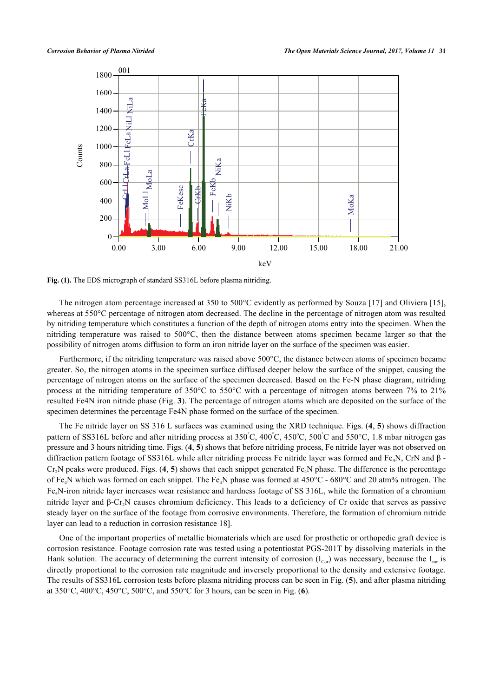

**Fig. (1).** The EDS micrograph of standard SS316L before plasma nitriding.

The nitrogen atom percentage increased at 350 to 500°C evidently as performed by Souza [[17\]](#page-8-14) and Oliviera [\[15\]](#page-8-15), whereas at 550°C percentage of nitrogen atom decreased. The decline in the percentage of nitrogen atom was resulted by nitriding temperature which constitutes a function of the depth of nitrogen atoms entry into the specimen. When the nitriding temperature was raised to 500°C, then the distance between atoms specimen became larger so that the possibility of nitrogen atoms diffusion to form an iron nitride layer on the surface of the specimen was easier.

Furthermore, if the nitriding temperature was raised above 500°C, the distance between atoms of specimen became greater. So, the nitrogen atoms in the specimen surface diffused deeper below the surface of the snippet, causing the percentage of nitrogen atoms on the surface of the specimen decreased. Based on the Fe-N phase diagram, nitriding process at the nitriding temperature of 350°C to 550°C with a percentage of nitrogen atoms between 7% to 21% resulted Fe4N iron nitride phase (Fig. **[3](#page-3-0)**). The percentage of nitrogen atoms which are deposited on the surface of the specimen determines the percentage Fe4N phase formed on the surface of the specimen.

The Fe nitride layer on SS 316 L surfaces was examined using the XRD technique. Figs. (**[4](#page-4-0)**, **[5](#page-5-0)**) shows diffraction pattern of SS316L before and after nitriding process at  $350^{\circ}$ C,  $400^{\circ}$ C,  $450^{\circ}$ C,  $500^{\circ}$ C and  $550^{\circ}$ C, 1.8 mbar nitrogen gas pressure and 3 hours nitriding time. Figs. (**[4](#page-4-0)**, **[5](#page-5-0)**) shows that before nitriding process, Fe nitride layer was not observed on diffraction pattern footage of SS316L while after nitriding process Fe nitride layer was formed and Fe<sub>4</sub>N, CrN and β -Cr<sub>2</sub>N peaks were produced. Figs. ([4](#page-4-0), [5](#page-5-0)) shows that each snippet generated Fe<sub>4</sub>N phase. The difference is the percentage of Fe<sub>4</sub>N which was formed on each snippet. The Fe<sub>4</sub>N phase was formed at  $450^{\circ}$ C -  $680^{\circ}$ C and 20 atm% nitrogen. The Fe4N-iron nitride layer increases wear resistance and hardness footage of SS 316L, while the formation of a chromium nitride layer and β-Cr<sub>2</sub>N causes chromium deficiency. This leads to a deficiency of Cr oxide that serves as passive steady layer on the surface of the footage from corrosive environments. Therefore, the formation of chromium nitride layer can lead to a reduction in corrosion resistance [18\]](#page-8-16).

<span id="page-2-0"></span>One of the important properties of metallic biomaterials which are used for prosthetic or orthopedic graft device is corrosion resistance. Footage corrosion rate was tested using a potentiostat PGS-201T by dissolving materials in the Hank solution. The accuracy of determining the current intensity of corrosion  $(I_{\text{cor}})$  was necessary, because the  $I_{\text{cor}}$  is directly proportional to the corrosion rate magnitude and inversely proportional to the density and extensive footage. The results of SS316L corrosion tests before plasma nitriding process can be seen in Fig. (**[5](#page-5-0)**), and after plasma nitriding at 350°C, 400°C, 450°C, 500°C, and 550°C for 3 hours, can be seen in Fig. (**[6](#page-6-0)**).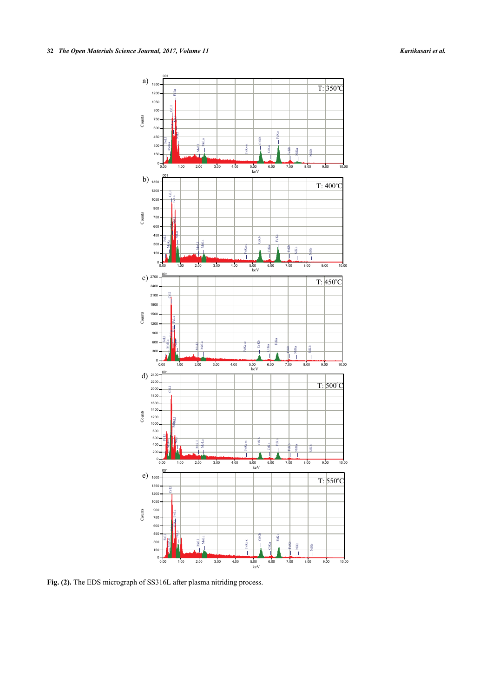

<span id="page-3-0"></span>**Fig. (2).** The EDS micrograph of SS316L after plasma nitriding process.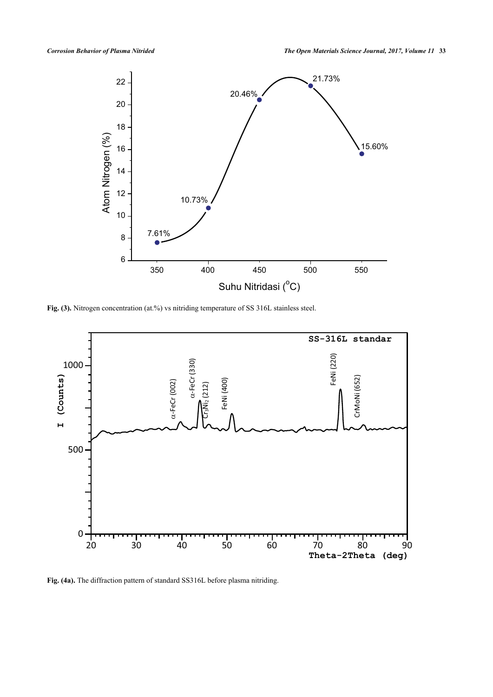

Fig. (3). Nitrogen concentration (at.%) vs nitriding temperature of SS 316L stainless steel.



<span id="page-4-0"></span>**Fig. (4a).** The diffraction pattern of standard SS316L before plasma nitriding.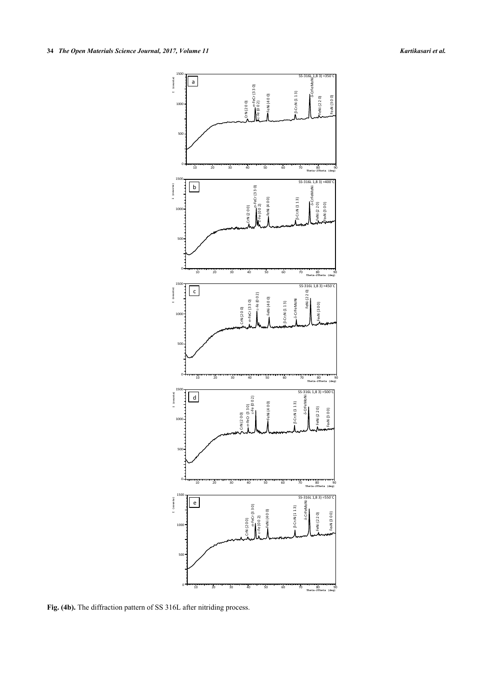

<span id="page-5-0"></span>**Fig. (4b).** The diffraction pattern of SS 316L after nitriding process.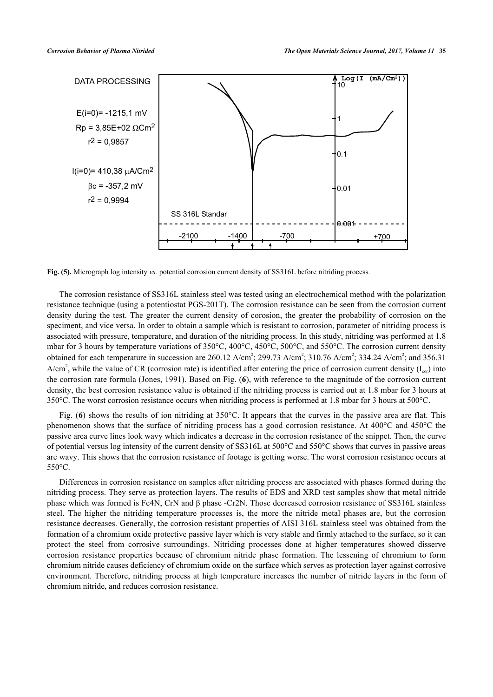

**Fig. (5).** Micrograph log intensity *vs.* potential corrosion current density of SS316L before nitriding process.

The corrosion resistance of SS316L stainless steel was tested using an electrochemical method with the polarization resistance technique (using a potentiostat PGS-201T). The corrosion resistance can be seen from the corrosion current density during the test. The greater the current density of corosion, the greater the probability of corrosion on the speciment, and vice versa. In order to obtain a sample which is resistant to corrosion, parameter of nitriding process is associated with pressure, temperature, and duration of the nitriding process. In this study, nitriding was performed at 1.8 mbar for 3 hours by temperature variations of 350°C, 400°C, 450°C, 500°C, and 550°C. The corrosion current density obtained for each temperature in succession are  $260.12$  A/cm<sup>2</sup>;  $299.73$  A/cm<sup>2</sup>;  $310.76$  A/cm<sup>2</sup>;  $334.24$  A/cm<sup>2</sup>; and  $356.31$ A/cm<sup>2</sup>, while the value of CR (corrosion rate) is identified after entering the price of corrosion current density ( $I_{cor}$ ) into the corrosion rate formula (Jones, 1991). Based on Fig. (**[6](#page-6-0)**), with reference to the magnitude of the corrosion current density, the best corrosion resistance value is obtained if the nitriding process is carried out at 1.8 mbar for 3 hours at 350°C. The worst corrosion resistance occurs when nitriding process is performed at 1.8 mbar for 3 hours at 500°C.

Fig. (**[6](#page-6-0)**) shows the results of ion nitriding at 350°C. It appears that the curves in the passive area are flat. This phenomenon shows that the surface of nitriding process has a good corrosion resistance. At 400°C and 450°C the passive area curve lines look wavy which indicates a decrease in the corrosion resistance of the snippet. Then, the curve of potential versus log intensity of the current density of SS316L at 500°C and 550°C shows that curves in passive areas are wavy. This shows that the corrosion resistance of footage is getting worse. The worst corrosion resistance occurs at 550°C.

<span id="page-6-0"></span>Differences in corrosion resistance on samples after nitriding process are associated with phases formed during the nitriding process. They serve as protection layers. The results of EDS and XRD test samples show that metal nitride phase which was formed is Fe4N, CrN and β phase -Cr2N. Those decreased corrosion resistance of SS316L stainless steel. The higher the nitriding temperature processes is, the more the nitride metal phases are, but the corrosion resistance decreases. Generally, the corrosion resistant properties of AISI 316L stainless steel was obtained from the formation of a chromium oxide protective passive layer which is very stable and firmly attached to the surface, so it can protect the steel from corrosive surroundings. Nitriding processes done at higher temperatures showed disserve corrosion resistance properties because of chromium nitride phase formation. The lessening of chromium to form chromium nitride causes deficiency of chromium oxide on the surface which serves as protection layer against corrosive environment. Therefore, nitriding process at high temperature increases the number of nitride layers in the form of chromium nitride, and reduces corrosion resistance.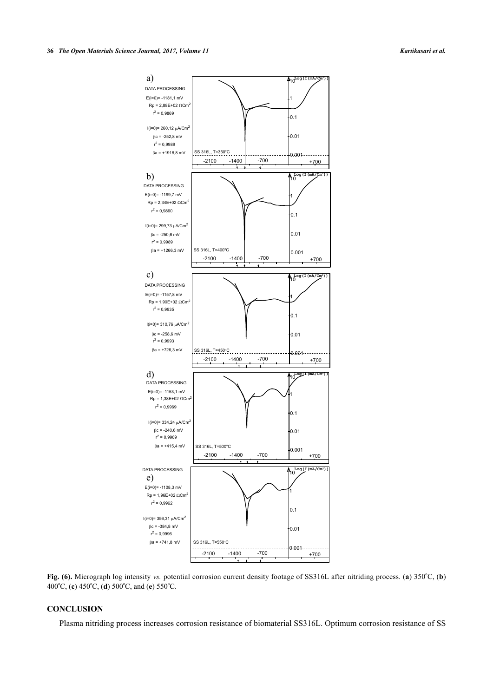

Fig. (6). Micrograph log intensity *vs.* potential corrosion current density footage of SS316L after nitriding process. (a) 350°C, (b) 400°C, (**c**) 450°C, (**d**) 500°C, and (**e**) 550°C.

#### **CONCLUSION**

Plasma nitriding process increases corrosion resistance of biomaterial SS316L. Optimum corrosion resistance of SS